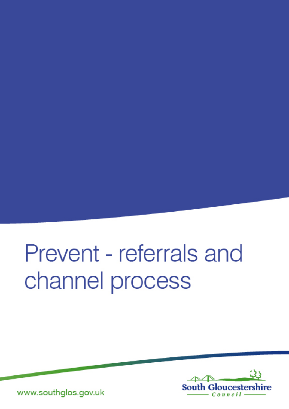# Prevent - referrals and channel process



www.southglos.gov.uk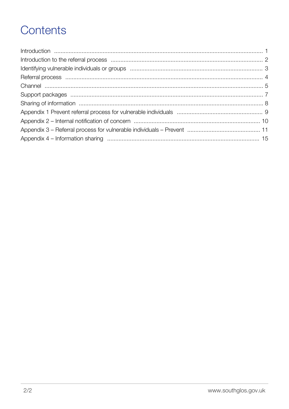# Contents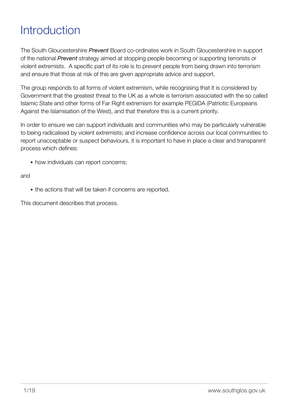# <span id="page-2-0"></span>**Introduction**

The South Gloucestershire *Prevent* Board co-ordinates work in South Gloucestershire in support of the national *Prevent* strategy aimed at stopping people becoming or supporting terrorists or violent extremists. A specific part of its role is to prevent people from being drawn into terrorism and ensure that those at risk of this are given appropriate advice and support.

The group responds to all forms of violent extremism, while recognising that it is considered by Government that the greatest threat to the UK as a whole is terrorism associated with the so called Islamic State and other forms of Far Right extremism for example PEGIDA (Patriotic Europeans Against the Islamisation of the West), and that therefore this is a current priority.

In order to ensure we can support individuals and communities who may be particularly vulnerable to being radicalised by violent extremists; and increase confidence across our local communities to report unacceptable or suspect behaviours, it is important to have in place a clear and transparent process which defines:

• how individuals can report concerns;

#### and

• the actions that will be taken if concerns are reported.

This document describes that process.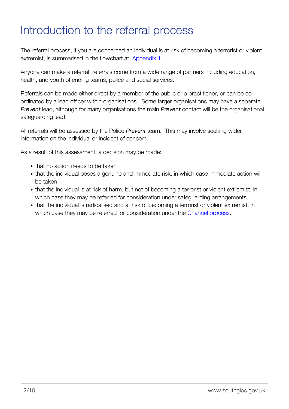### <span id="page-3-0"></span>Introduction to the referral process

The referral process, if you are concerned an individual is at risk of becoming a terrorist or violent extremist, is summarised in the flowchart at [Appendix 1.](http://edocs.southglos.gov.uk/preventreferralsandchannel/pages/appendix-1/)

Anyone can make a referral; referrals come from a wide range of partners including education, health, and youth offending teams, police and social services.

Referrals can be made either direct by a member of the public or a practitioner, or can be coordinated by a lead officer within organisations. Some larger organisations may have a separate *Prevent* lead, although for many organisations the main *Prevent* contact will be the organisational safeguarding lead.

All referrals will be assessed by the Police *Prevent* team. This may involve seeking wider information on the individual or incident of concern.

As a result of this assessment, a decision may be made:

- that no action needs to be taken
- that the individual poses a genuine and immediate risk, in which case immediate action will be taken
- that the individual is at risk of harm, but not of becoming a terrorist or violent extremist, in which case they may be referred for consideration under safeguarding arrangements.
- that the individual is radicalised and at risk of becoming a terrorist or violent extremist, in which case they may be referred for consideration under the [Channel process](http://edocs.southglos.gov.uk/preventreferralsandchannel/pages/channel/).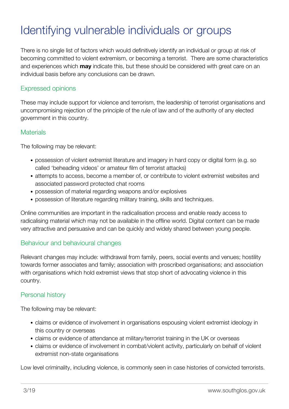# <span id="page-4-0"></span>Identifying vulnerable individuals or groups

There is no single list of factors which would definitively identify an individual or group at risk of becoming committed to violent extremism, or becoming a terrorist. There are some characteristics and experiences which **may** indicate this, but these should be considered with great care on an individual basis before any conclusions can be drawn.

#### Expressed opinions

These may include support for violence and terrorism, the leadership of terrorist organisations and uncompromising rejection of the principle of the rule of law and of the authority of any elected government in this country.

#### **Materials**

The following may be relevant:

- possession of violent extremist literature and imagery in hard copy or digital form (e.g. so called 'beheading videos' or amateur film of terrorist attacks)
- attempts to access, become a member of, or contribute to violent extremist websites and associated password protected chat rooms
- possession of material regarding weapons and/or explosives
- possession of literature regarding military training, skills and techniques.

Online communities are important in the radicalisation process and enable ready access to radicalising material which may not be available in the offline world. Digital content can be made very attractive and persuasive and can be quickly and widely shared between young people.

#### Behaviour and behavioural changes

Relevant changes may include: withdrawal from family, peers, social events and venues; hostility towards former associates and family; association with proscribed organisations; and association with organisations which hold extremist views that stop short of advocating violence in this country.

#### Personal history

The following may be relevant:

- claims or evidence of involvement in organisations espousing violent extremist ideology in this country or overseas
- claims or evidence of attendance at military/terrorist training in the UK or overseas
- claims or evidence of involvement in combat/violent activity, particularly on behalf of violent extremist non-state organisations

Low level criminality, including violence, is commonly seen in case histories of convicted terrorists.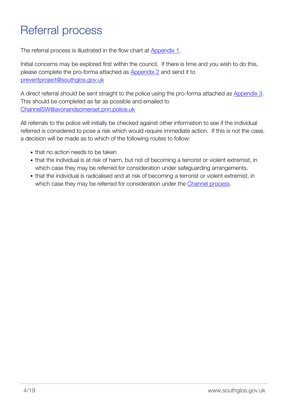# <span id="page-5-0"></span>Referral process

The referral process is illustrated in the flow chart at [Appendix 1.](http://edocs.southglos.gov.uk/preventreferralsandchannel/pages/appendix-1/)

Initial concerns may be explored first within the council. If there is time and you wish to do this, please complete the pro-forma attached as **Appendix 2** and send it to [preventproject@southglos.gov.uk](mailto:preventproject@southglos.gov.uk)

A direct referral should be sent straight to the police using the pro-forma attached as [Appendix 3.](http://edocs.southglos.gov.uk/preventreferralsandchannel/pages/appendix-3-information-sharing/) This should be completed as far as possible and emailed to [ChannelSW@avonandsomerset.pnn.police.uk](mailto:ChannelSW@avonandsomerset.pnn.police.uk)

All referrals to the police will initially be checked against other information to see if the individual referred is considered to pose a risk which would require immediate action. If this is not the case, a decision will be made as to which of the following routes to follow:

- that no action needs to be taken
- that the individual is at risk of harm, but not of becoming a terrorist or violent extremist, in which case they may be referred for consideration under safeguarding arrangements.
- that the individual is radicalised and at risk of becoming a terrorist or violent extremist, in which case they may be referred for consideration under the [Channel process](http://edocs.southglos.gov.uk/preventreferralsandchannel/pages/channel/).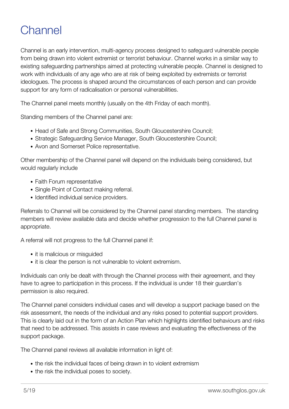# <span id="page-6-0"></span>**Channel**

Channel is an early intervention, multi-agency process designed to safeguard vulnerable people from being drawn into violent extremist or terrorist behaviour. Channel works in a similar way to existing safeguarding partnerships aimed at protecting vulnerable people. Channel is designed to work with individuals of any age who are at risk of being exploited by extremists or terrorist ideologues. The process is shaped around the circumstances of each person and can provide support for any form of radicalisation or personal vulnerabilities.

The Channel panel meets monthly (usually on the 4th Friday of each month).

Standing members of the Channel panel are:

- Head of Safe and Strong Communities, South Gloucestershire Council;
- Strategic Safeguarding Service Manager, South Gloucestershire Council;
- Avon and Somerset Police representative.

Other membership of the Channel panel will depend on the individuals being considered, but would regularly include

- Faith Forum representative
- Single Point of Contact making referral.
- Identified individual service providers.

Referrals to Channel will be considered by the Channel panel standing members. The standing members will review available data and decide whether progression to the full Channel panel is appropriate.

A referral will not progress to the full Channel panel if:

- it is malicious or misquided
- it is clear the person is not vulnerable to violent extremism.

Individuals can only be dealt with through the Channel process with their agreement, and they have to agree to participation in this process. If the individual is under 18 their guardian's permission is also required.

The Channel panel considers individual cases and will develop a support package based on the risk assessment, the needs of the individual and any risks posed to potential support providers. This is clearly laid out in the form of an Action Plan which highlights identified behaviours and risks that need to be addressed. This assists in case reviews and evaluating the effectiveness of the support package.

The Channel panel reviews all available information in light of:

- the risk the individual faces of being drawn in to violent extremism
- the risk the individual poses to society.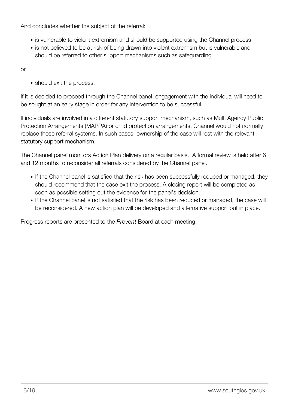And concludes whether the subject of the referral:

- is vulnerable to violent extremism and should be supported using the Channel process
- is not believed to be at risk of being drawn into violent extremism but is vulnerable and should be referred to other support mechanisms such as safeguarding

or

• should exit the process.

If it is decided to proceed through the Channel panel, engagement with the individual will need to be sought at an early stage in order for any intervention to be successful.

If individuals are involved in a different statutory support mechanism, such as Multi Agency Public Protection Arrangements (MAPPA) or child protection arrangements, Channel would not normally replace those referral systems. In such cases, ownership of the case will rest with the relevant statutory support mechanism.

The Channel panel monitors Action Plan delivery on a regular basis. A formal review is held after 6 and 12 months to reconsider all referrals considered by the Channel panel.

- If the Channel panel is satisfied that the risk has been successfully reduced or managed, they should recommend that the case exit the process. A closing report will be completed as soon as possible setting out the evidence for the panel's decision.
- If the Channel panel is not satisfied that the risk has been reduced or managed, the case will be reconsidered. A new action plan will be developed and alternative support put in place.

Progress reports are presented to the *Prevent* Board at each meeting.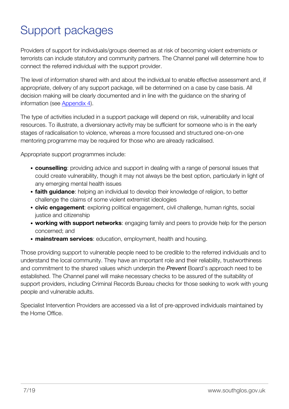# <span id="page-8-0"></span>Support packages

Providers of support for individuals/groups deemed as at risk of becoming violent extremists or terrorists can include statutory and community partners. The Channel panel will determine how to connect the referred individual with the support provider.

The level of information shared with and about the individual to enable effective assessment and, if appropriate, delivery of any support package, will be determined on a case by case basis. All decision making will be clearly documented and in line with the guidance on the sharing of information (see [Appendix 4\)](http://edocs.southglos.gov.uk/preventreferralsandchannel/pages/appendix-4-information-sharing/).

The type of activities included in a support package will depend on risk, vulnerability and local resources. To illustrate, a diversionary activity may be sufficient for someone who is in the early stages of radicalisation to violence, whereas a more focussed and structured one-on-one mentoring programme may be required for those who are already radicalised.

Appropriate support programmes include:

- **counselling**: providing advice and support in dealing with a range of personal issues that could create vulnerability, though it may not always be the best option, particularly in light of any emerging mental health issues
- **faith guidance**: helping an individual to develop their knowledge of religion, to better challenge the claims of some violent extremist ideologies
- **civic engagement**: exploring political engagement, civil challenge, human rights, social justice and citizenship
- **working with support networks**: engaging family and peers to provide help for the person concerned; and
- **mainstream services**: education, employment, health and housing.

Those providing support to vulnerable people need to be credible to the referred individuals and to understand the local community. They have an important role and their reliability, trustworthiness and commitment to the shared values which underpin the *Prevent* Board's approach need to be established. The Channel panel will make necessary checks to be assured of the suitability of support providers, including Criminal Records Bureau checks for those seeking to work with young people and vulnerable adults.

Specialist Intervention Providers are accessed via a list of pre-approved individuals maintained by the Home Office.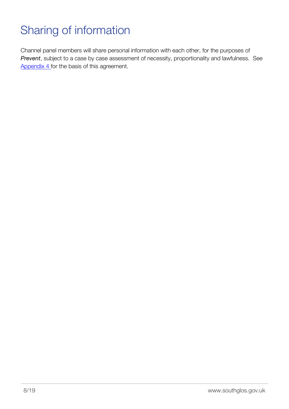# <span id="page-9-0"></span>Sharing of information

Channel panel members will share personal information with each other, for the purposes of *Prevent*, subject to a case by case assessment of necessity, proportionality and lawfulness. See [Appendix 4 f](http://edocs.southglos.gov.uk/preventreferralsandchannel/pages/appendix-4-information-sharing/)or the basis of this agreement.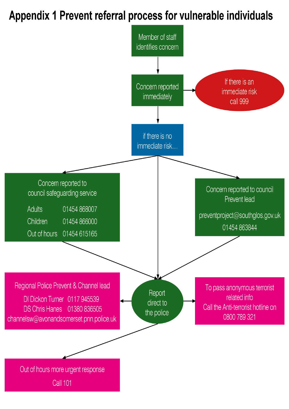# Appendix 1 Prevent referral process for vulnerable individuals

<span id="page-10-0"></span>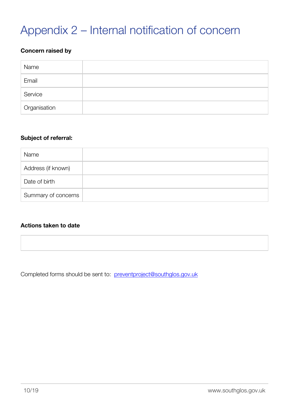# <span id="page-11-0"></span>Appendix 2 – Internal notification of concern

#### **Concern raised by**

| Name         |  |
|--------------|--|
| Email        |  |
| Service      |  |
| Organisation |  |

#### **Subject of referral:**

| Name                |  |
|---------------------|--|
| Address (if known)  |  |
| Date of birth       |  |
| Summary of concerns |  |

#### **Actions taken to date**

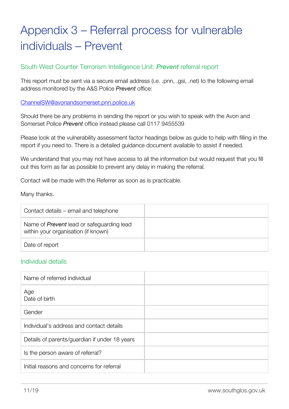# <span id="page-12-0"></span>Appendix 3 – Referral process for vulnerable individuals – Prevent

#### South West Counter Terrorism Intelligence Unit: *Prevent* referral report

This report must be sent via a secure email address (i.e. .pnn, .gsi, .net) to the following email address monitored by the A&S Police *Prevent* office:

#### [ChannelSW@avonandsomerset.pnn.police.uk](mailto:ChannelSW@avonandsomerset.pnn.police.uk)

Should there be any problems in sending the report or you wish to speak with the Avon and Somerset Police *Prevent* office instead please call 0117 9455539

Please look at the vulnerability assessment factor headings below as guide to help with filling in the report if you need to. There is a detailed guidance document available to assist if needed.

We understand that you may not have access to all the information but would request that you fill out this form as far as possible to prevent any delay in making the referral.

Contact will be made with the Referrer as soon as is practicable.

Many thanks.

| Contact details – email and telephone                                                   |  |
|-----------------------------------------------------------------------------------------|--|
| Name of <i>Prevent</i> lead or safeguarding lead<br>within your organisation (if known) |  |
| Date of report                                                                          |  |

#### Individual details

| Name of referred individual                   |  |
|-----------------------------------------------|--|
| Age<br>Date of birth                          |  |
| Gender                                        |  |
| Individual's address and contact details      |  |
| Details of parents/guardian if under 18 years |  |
| Is the person aware of referral?              |  |
| Initial reasons and concerns for referral     |  |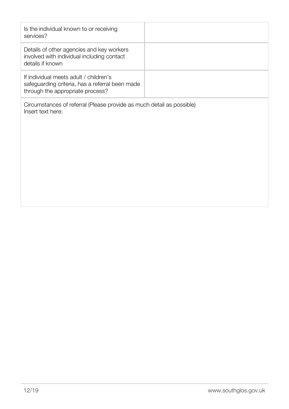| Is the individual known to or receiving<br>services?                                                                          |  |
|-------------------------------------------------------------------------------------------------------------------------------|--|
| Details of other agencies and key workers<br>involved with individual including contact<br>details if known                   |  |
| If individual meets adult / children's<br>safeguarding criteria, has a referral been made<br>through the appropriate process? |  |
| Circumstances of referral (Please provide as much detail as possible)<br>Insert text here:                                    |  |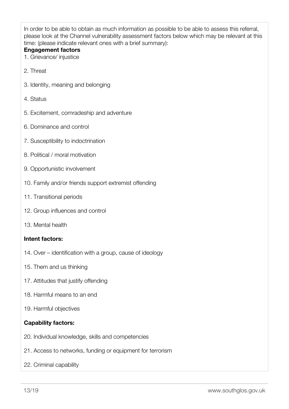In order to be able to obtain as much information as possible to be able to assess this referral, please look at the Channel vulnerability assessment factors below which may be relevant at this time: (please indicate relevant ones with a brief summary):

#### **Engagement factors**

- 1. Grievance/ injustice
- 2. Threat
- 3. Identity, meaning and belonging
- 4. Status
- 5. Excitement, comradeship and adventure
- 6. Dominance and control
- 7. Susceptibility to indoctrination
- 8. Political / moral motivation
- 9. Opportunistic involvement
- 10. Family and/or friends support extremist offending
- 11. Transitional periods
- 12. Group influences and control
- 13. Mental health

#### **Intent factors:**

- 14. Over identification with a group, cause of ideology
- 15. Them and us thinking
- 17. Attitudes that justify offending
- 18. Harmful means to an end
- 19. Harmful objectives

#### **Capability factors:**

- 20. Individual knowledge, skills and competencies
- 21. Access to networks, funding or equipment for terrorism
- 22. Criminal capability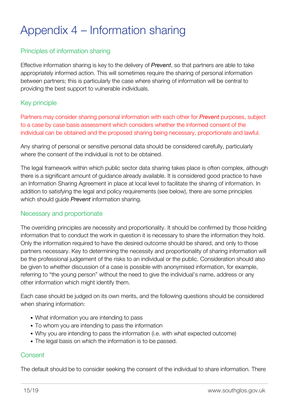# <span id="page-16-0"></span>Appendix 4 – Information sharing

### Principles of information sharing

Effective information sharing is key to the delivery of *Prevent*, so that partners are able to take appropriately informed action. This will sometimes require the sharing of personal information between partners; this is particularly the case where sharing of information will be central to providing the best support to vulnerable individuals.

#### Key principle

Partners may consider sharing personal information with each other for *Prevent* purposes, subject to a case by case basis assessment which considers whether the informed consent of the individual can be obtained and the proposed sharing being necessary, proportionate and lawful.

Any sharing of personal or sensitive personal data should be considered carefully, particularly where the consent of the individual is not to be obtained.

The legal framework within which public sector data sharing takes place is often complex, although there is a significant amount of guidance already available. It is considered good practice to have an Information Sharing Agreement in place at local level to facilitate the sharing of information. In addition to satisfying the legal and policy requirements (see below), there are some principles which should guide *Prevent* information sharing.

#### Necessary and proportionate

The overriding principles are necessity and proportionality. It should be confirmed by those holding information that to conduct the work in question it is necessary to share the information they hold. Only the information required to have the desired outcome should be shared, and only to those partners necessary. Key to determining the necessity and proportionality of sharing information will be the professional judgement of the risks to an individual or the public. Consideration should also be given to whether discussion of a case is possible with anonymised information, for example, referring to "the young person" without the need to give the individual's name, address or any other information which might identify them.

Each case should be judged on its own merits, and the following questions should be considered when sharing information:

- What information you are intending to pass
- To whom you are intending to pass the information
- Why you are intending to pass the information (i.e. with what expected outcome)
- The legal basis on which the information is to be passed.

### **Consent**

The default should be to consider seeking the consent of the individual to share information. There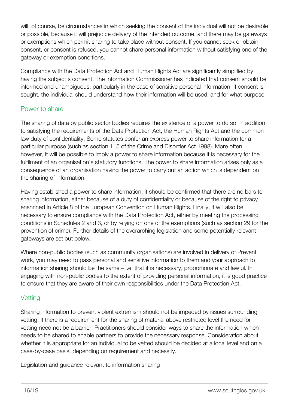will, of course, be circumstances in which seeking the consent of the individual will not be desirable or possible, because it will prejudice delivery of the intended outcome, and there may be gateways or exemptions which permit sharing to take place without consent. If you cannot seek or obtain consent, or consent is refused, you cannot share personal information without satisfying one of the gateway or exemption conditions.

Compliance with the Data Protection Act and Human Rights Act are significantly simplified by having the subject's consent. The Information Commissioner has indicated that consent should be informed and unambiguous, particularly in the case of sensitive personal information. If consent is sought, the individual should understand how their information will be used, and for what purpose.

### Power to share

The sharing of data by public sector bodies requires the existence of a power to do so, in addition to satisfying the requirements of the Data Protection Act, the Human Rights Act and the common law duty of confidentiality. Some statutes confer an express power to share information for a particular purpose (such as section 115 of the Crime and Disorder Act 1998). More often, however, it will be possible to imply a power to share information because it is necessary for the fulfilment of an organisation's statutory functions. The power to share information arises only as a consequence of an organisation having the power to carry out an action which is dependent on the sharing of information.

Having established a power to share information, it should be confirmed that there are no bars to sharing information, either because of a duty of confidentiality or because of the right to privacy enshrined in Article 8 of the European Convention on Human Rights. Finally, it will also be necessary to ensure compliance with the Data Protection Act, either by meeting the processing conditions in Schedules 2 and 3, or by relying on one of the exemptions (such as section 29 for the prevention of crime). Further details of the overarching legislation and some potentially relevant gateways are set out below.

Where non-public bodies (such as community organisations) are involved in delivery of Prevent work, you may need to pass personal and sensitive information to them and your approach to information sharing should be the same – i.e. that it is necessary, proportionate and lawful. In engaging with non-public bodies to the extent of providing personal information, it is good practice to ensure that they are aware of their own responsibilities under the Data Protection Act.

### **Vetting**

Sharing information to prevent violent extremism should not be impeded by issues surrounding vetting. If there is a requirement for the sharing of material above restricted level the need for vetting need not be a barrier. Practitioners should consider ways to share the information which needs to be shared to enable partners to provide the necessary response. Consideration about whether it is appropriate for an individual to be vetted should be decided at a local level and on a case-by-case basis, depending on requirement and necessity.

Legislation and guidance relevant to information sharing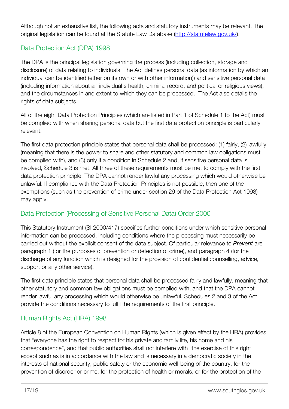Although not an exhaustive list, the following acts and statutory instruments may be relevant. The original legislation can be found at the Statute Law Database [\(http://statutelaw.gov.uk/\)](http://statutelaw.gov.uk/).

### Data Protection Act (DPA) 1998

The DPA is the principal legislation governing the process (including collection, storage and disclosure) of data relating to individuals. The Act defines personal data (as information by which an individual can be identified (ether on its own or with other information)) and sensitive personal data (including information about an individual's health, criminal record, and political or religious views), and the circumstances in and extent to which they can be processed. The Act also details the rights of data subjects.

All of the eight Data Protection Principles (which are listed in Part 1 of Schedule 1 to the Act) must be complied with when sharing personal data but the first data protection principle is particularly relevant.

The first data protection principle states that personal data shall be processed: (1) fairly, (2) lawfully (meaning that there is the power to share and other statutory and common law obligations must be complied with), and (3) only if a condition in Schedule 2 and, if sensitive personal data is involved, Schedule 3 is met. All three of these requirements must be met to comply with the first data protection principle. The DPA cannot render lawful any processing which would otherwise be unlawful. If compliance with the Data Protection Principles is not possible, then one of the exemptions (such as the prevention of crime under section 29 of the Data Protection Act 1998) may apply.

### Data Protection (Processing of Sensitive Personal Data) Order 2000

This Statutory Instrument (SI 2000/417) specifies further conditions under which sensitive personal information can be processed, including conditions where the processing must necessarily be carried out without the explicit consent of the data subject. Of particular relevance to *Prevent* are paragraph 1 (for the purposes of prevention or detection of crime), and paragraph 4 (for the discharge of any function which is designed for the provision of confidential counselling, advice, support or any other service).

The first data principle states that personal data shall be processed fairly and lawfully, meaning that other statutory and common law obligations must be complied with, and that the DPA cannot render lawful any processing which would otherwise be unlawful. Schedules 2 and 3 of the Act provide the conditions necessary to fulfil the requirements of the first principle.

### Human Rights Act (HRA) 1998

Article 8 of the European Convention on Human Rights (which is given effect by the HRA) provides that "everyone has the right to respect for his private and family life, his home and his correspondence", and that public authorities shall not interfere with "the exercise of this right except such as is in accordance with the law and is necessary in a democratic society in the interests of national security, public safety or the economic well-being of the country, for the prevention of disorder or crime, for the protection of health or morals, or for the protection of the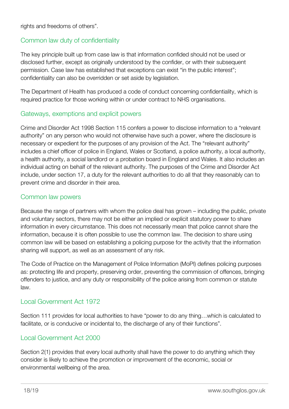rights and freedoms of others".

### Common law duty of confidentiality

The key principle built up from case law is that information confided should not be used or disclosed further, except as originally understood by the confider, or with their subsequent permission. Case law has established that exceptions can exist "in the public interest"; confidentiality can also be overridden or set aside by legislation.

The Department of Health has produced a code of conduct concerning confidentiality, which is required practice for those working within or under contract to NHS organisations.

#### Gateways, exemptions and explicit powers

Crime and Disorder Act 1998 Section 115 confers a power to disclose information to a "relevant authority" on any person who would not otherwise have such a power, where the disclosure is necessary or expedient for the purposes of any provision of the Act. The "relevant authority" includes a chief officer of police in England, Wales or Scotland, a police authority, a local authority, a health authority, a social landlord or a probation board in England and Wales. It also includes an individual acting on behalf of the relevant authority. The purposes of the Crime and Disorder Act include, under section 17, a duty for the relevant authorities to do all that they reasonably can to prevent crime and disorder in their area.

#### Common law powers

Because the range of partners with whom the police deal has grown – including the public, private and voluntary sectors, there may not be either an implied or explicit statutory power to share information in every circumstance. This does not necessarily mean that police cannot share the information, because it is often possible to use the common law. The decision to share using common law will be based on establishing a policing purpose for the activity that the information sharing will support, as well as an assessment of any risk.

The Code of Practice on the Management of Police Information (MoPI) defines policing purposes as: protecting life and property, preserving order, preventing the commission of offences, bringing offenders to justice, and any duty or responsibility of the police arising from common or statute law.

### Local Government Act 1972

Section 111 provides for local authorities to have "power to do any thing…which is calculated to facilitate, or is conducive or incidental to, the discharge of any of their functions".

### Local Government Act 2000

Section 2(1) provides that every local authority shall have the power to do anything which they consider is likely to achieve the promotion or improvement of the economic, social or environmental wellbeing of the area.